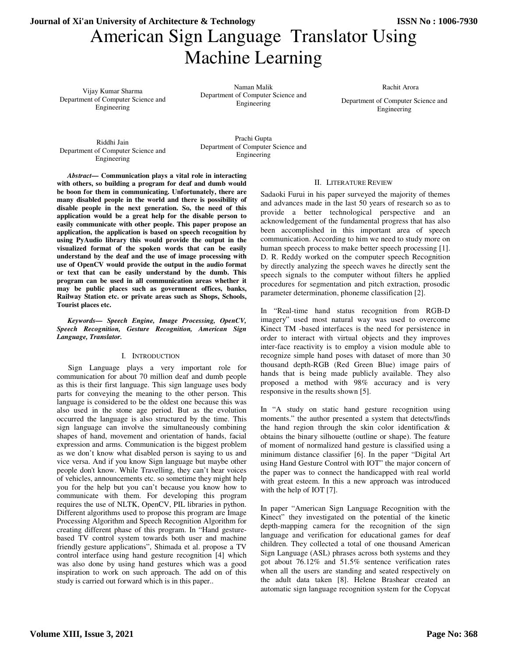# American Sign Language Translator Using Machine Learning **Journal of Xi'an University of Architecture & Technology ISSN No : 1006-7930**

Vijay Kumar Sharma Department of Computer Science and Engineering

Naman Malik Department of Computer Science and Engineering

Rachit Arora

Department of Computer Science and Engineering

Riddhi Jain Department of Computer Science and Engineering

Prachi Gupta Department of Computer Science and Engineering

*Abstract***— Communication plays a vital role in interacting with others, so building a program for deaf and dumb would be boon for them in communicating. Unfortunately, there are many disabled people in the world and there is possibility of disable people in the next generation. So, the need of this application would be a great help for the disable person to easily communicate with other people. This paper propose an application, the application is based on speech recognition by using PyAudio library this would provide the output in the visualized format of the spoken words that can be easily understand by the deaf and the use of image processing with use of OpenCV would provide the output in the audio format or text that can be easily understand by the dumb. This program can be used in all communication areas whether it may be public places such as government offices, banks, Railway Station etc. or private areas such as Shops, Schools, Tourist places etc.**

*Keywords— Speech Engine, Image Processing, OpenCV, Speech Recognition, Gesture Recognition, American Sign Language, Translator.* 

#### I. INTRODUCTION

Sign Language plays a very important role for communication for about 70 million deaf and dumb people as this is their first language. This sign language uses body parts for conveying the meaning to the other person. This language is considered to be the oldest one because this was also used in the stone age period. But as the evolution occurred the language is also structured by the time. This sign language can involve the simultaneously combining shapes of hand, movement and orientation of hands, facial expression and arms. Communication is the biggest problem as we don't know what disabled person is saying to us and vice versa. And if you know Sign language but maybe other people don't know. While Travelling, they can't hear voices of vehicles, announcements etc. so sometime they might help you for the help but you can't because you know how to communicate with them. For developing this program requires the use of NLTK, OpenCV, PIL libraries in python. Different algorithms used to propose this program are Image Processing Algorithm and Speech Recognition Algorithm for creating different phase of this program. In "Hand gesturebased TV control system towards both user and machine friendly gesture applications", Shimada et al. propose a TV control interface using hand gesture recognition [4] which was also done by using hand gestures which was a good inspiration to work on such approach. The add on of this study is carried out forward which is in this paper..

#### II. LITERATURE REVIEW

Sadaoki Furui in his paper surveyed the majority of themes and advances made in the last 50 years of research so as to provide a better technological perspective and an acknowledgement of the fundamental progress that has also been accomplished in this important area of speech communication. According to him we need to study more on human speech process to make better speech processing [1]. D. R. Reddy worked on the computer speech Recognition by directly analyzing the speech waves he directly sent the speech signals to the computer without filters he applied procedures for segmentation and pitch extraction, prosodic parameter determination, phoneme classification [2].

In "Real-time hand status recognition from RGB-D imagery" used most natural way was used to overcome Kinect TM -based interfaces is the need for persistence in order to interact with virtual objects and they improves inter-face reactivity is to employ a vision module able to recognize simple hand poses with dataset of more than 30 thousand depth-RGB (Red Green Blue) image pairs of hands that is being made publicly available. They also proposed a method with 98% accuracy and is very responsive in the results shown [5].

In "A study on static hand gesture recognition using moments." the author presented a system that detects/finds the hand region through the skin color identification & obtains the binary silhouette (outline or shape). The feature of moment of normalized hand gesture is classified using a minimum distance classifier [6]. In the paper "Digital Art using Hand Gesture Control with IOT" the major concern of the paper was to connect the handicapped with real world with great esteem. In this a new approach was introduced with the help of IOT [7].

In paper "American Sign Language Recognition with the Kinect" they investigated on the potential of the kinetic depth-mapping camera for the recognition of the sign language and verification for educational games for deaf children. They collected a total of one thousand American Sign Language (ASL) phrases across both systems and they got about 76.12% and 51.5% sentence verification rates when all the users are standing and seated respectively on the adult data taken [8]. Helene Brashear created an automatic sign language recognition system for the Copycat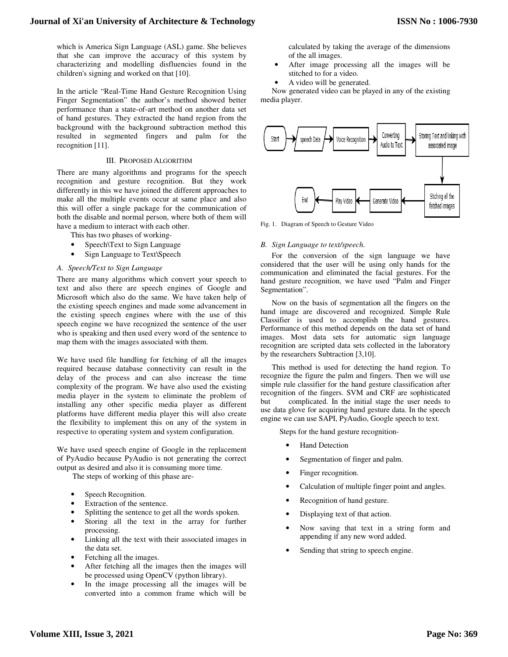which is America Sign Language (ASL) game. She believes that she can improve the accuracy of this system by characterizing and modelling disfluencies found in the children's signing and worked on that [10].

In the article "Real-Time Hand Gesture Recognition Using Finger Segmentation" the author's method showed better performance than a state-of-art method on another data set of hand gestures. They extracted the hand region from the background with the background subtraction method this resulted in segmented fingers and palm for the recognition [11].

### III. PROPOSED ALGORITHM

There are many algorithms and programs for the speech recognition and gesture recognition. But they work differently in this we have joined the different approaches to make all the multiple events occur at same place and also this will offer a single package for the communication of both the disable and normal person, where both of them will have a medium to interact with each other.

This has two phases of working-

- Speech\Text to Sign Language
- Sign Language to Text\Speech

## *A. Speech/Text to Sign Language*

There are many algorithms which convert your speech to text and also there are speech engines of Google and Microsoft which also do the same. We have taken help of the existing speech engines and made some advancement in the existing speech engines where with the use of this speech engine we have recognized the sentence of the user who is speaking and then used every word of the sentence to map them with the images associated with them.

We have used file handling for fetching of all the images required because database connectivity can result in the delay of the process and can also increase the time complexity of the program. We have also used the existing media player in the system to eliminate the problem of installing any other specific media player as different platforms have different media player this will also create the flexibility to implement this on any of the system in respective to operating system and system configuration.

We have used speech engine of Google in the replacement of PyAudio because PyAudio is not generating the correct output as desired and also it is consuming more time.

The steps of working of this phase are-

- Speech Recognition.
- Extraction of the sentence.
- Splitting the sentence to get all the words spoken.
- Storing all the text in the array for further processing.
- Linking all the text with their associated images in the data set.
- Fetching all the images.
- After fetching all the images then the images will be processed using OpenCV (python library).
- In the image processing all the images will be converted into a common frame which will be

calculated by taking the average of the dimensions of the all images.

- After image processing all the images will be stitched to for a video.
- A video will be generated.

Now generated video can be played in any of the existing media player.



Fig. 1. Diagram of Speech to Gesture Video

## *B. Sign Language to text/speech.*

For the conversion of the sign language we have considered that the user will be using only hands for the communication and eliminated the facial gestures. For the hand gesture recognition, we have used "Palm and Finger Segmentation".

Now on the basis of segmentation all the fingers on the hand image are discovered and recognized. Simple Rule Classifier is used to accomplish the hand gestures. Performance of this method depends on the data set of hand images. Most data sets for automatic sign language recognition are scripted data sets collected in the laboratory by the researchers Subtraction [3,10].

This method is used for detecting the hand region. To recognize the figure the palm and fingers. Then we will use simple rule classifier for the hand gesture classification after recognition of the fingers. SVM and CRF are sophisticated but complicated. In the initial stage the user needs to use data glove for acquiring hand gesture data. In the speech engine we can use SAPI, PyAudio, Google speech to text.

Steps for the hand gesture recognition-

- Hand Detection
- Segmentation of finger and palm.
- Finger recognition.
- Calculation of multiple finger point and angles.
- Recognition of hand gesture.
- Displaying text of that action.
- Now saving that text in a string form and appending if any new word added.
- Sending that string to speech engine.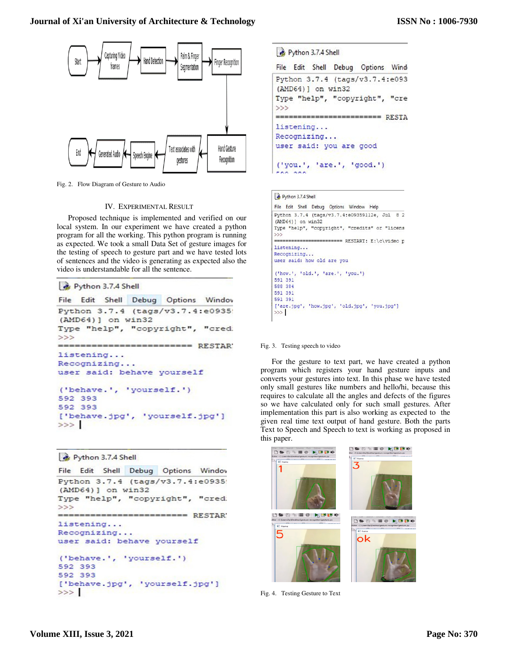

Fig. 2. Flow Diagram of Gesture to Audio

### IV. EXPERIMENTAL RESULT

Proposed technique is implemented and verified on our local system. In our experiment we have created a python program for all the working. This python program is running as expected. We took a small Data Set of gesture images for the testing of speech to gesture part and we have tested lots of sentences and the video is generating as expected also the video is understandable for all the sentence.

```
Python 3.7.4 Shell
```

```
File Edit Shell Debug Options Windov
Python 3.7.4 (tags/v3.7.4:e0935)
(AMD64) ] on win32
Type "help", "copyright", "cred.
>>ENERGIESEEN RESTAR
listening...
Recognizing...
user said: behave yourself
('behave.', 'yourself.')
592 393
592 393
['behave.jpg', 'yourself.jpg']
>>>1
```

```
Python 3.7.4 Shell
```

```
File Edit Shell Debug Options Windov
Python 3.7.4 (tags/v3.7.4:e0935)
(AMD64) ] on win32
Type "help", "copyright", "cred.
>>------------------------ RESTAR
listening...
Recognizing...
user said: behave yourself
('behave.', 'yourself.')
592 393
592 393
['behave.jpg', 'yourself.jpg']
>>
```

```
Python 3.7.4 Shell
```

```
File Edit Shell Debug Options Wind
Python 3.7.4 (tags/v3.7.4:e093
(AMD64) ] on win32
Type "help", "copyright", "cre
>>------------------------- RESTA
listening...
Recognizing...
user said: you are good
('you.', 'are.', 'good.')
FOO DOO
```

```
Python 3.7.4 Shell
```

```
File Edit Shell Debug Options Window Help
Python 3.7.4 (tags/v3.7.4:e09359112e, Jul 8 2
(AMD64) ] on win32
Type "help", "copyright", "credits" or "licens
>------ RESTART: E:\c\video p
listening...
Recognizing...user said: how old are you
('how',', 'old',', 'are',', 'you.'')591 391
588 384
591 391
591 391
['are.jpg', 'how.jpg', 'old.jpg', 'you.jpg']
\gg
```
#### Fig. 3. Testing speech to video

For the gesture to text part, we have created a python program which registers your hand gesture inputs and converts your gestures into text. In this phase we have tested only small gestures like numbers and hello/hi, because this requires to calculate all the angles and defects of the figures so we have calculated only for such small gestures. After implementation this part is also working as expected to the given real time text output of hand gesture. Both the parts Text to Speech and Speech to text is working as proposed in this paper.



Fig. 4. Testing Gesture to Text